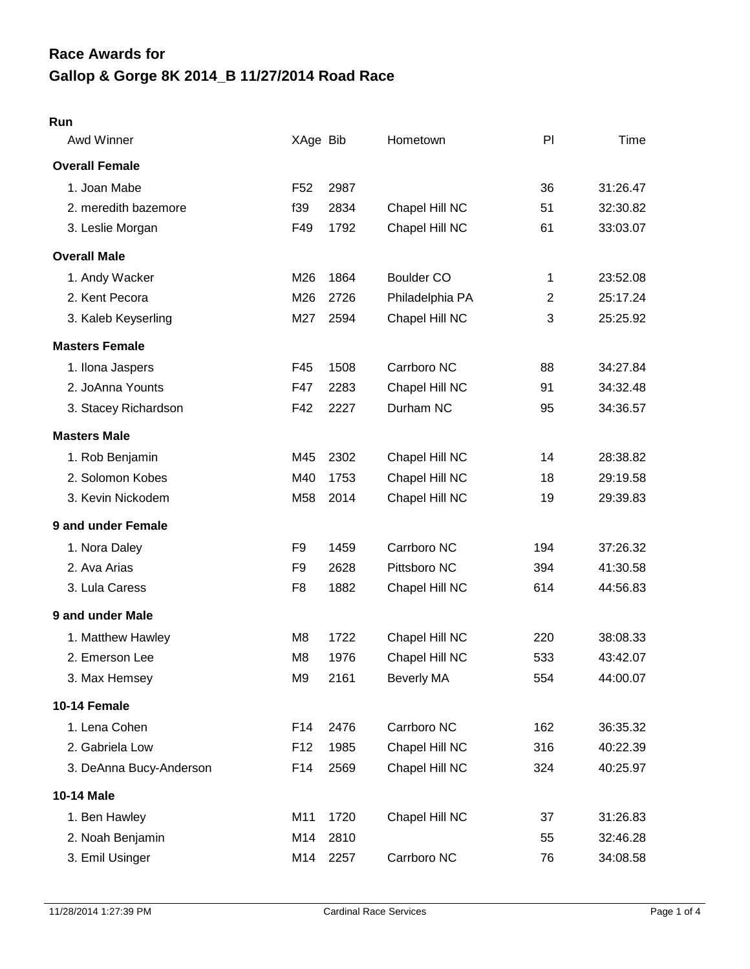# **Gallop & Gorge 8K 2014\_B 11/27/2014 Road Race Race Awards for**

#### **Run**

| Awd Winner              | XAge Bib        |      | Hometown          | PI             | Time     |
|-------------------------|-----------------|------|-------------------|----------------|----------|
| <b>Overall Female</b>   |                 |      |                   |                |          |
| 1. Joan Mabe            | F <sub>52</sub> | 2987 |                   | 36             | 31:26.47 |
| 2. meredith bazemore    | f39             | 2834 | Chapel Hill NC    | 51             | 32:30.82 |
| 3. Leslie Morgan        | F49             | 1792 | Chapel Hill NC    | 61             | 33:03.07 |
| <b>Overall Male</b>     |                 |      |                   |                |          |
| 1. Andy Wacker          | M26             | 1864 | <b>Boulder CO</b> | 1              | 23:52.08 |
| 2. Kent Pecora          | M26             | 2726 | Philadelphia PA   | $\overline{2}$ | 25:17.24 |
| 3. Kaleb Keyserling     | M27             | 2594 | Chapel Hill NC    | 3              | 25:25.92 |
| <b>Masters Female</b>   |                 |      |                   |                |          |
| 1. Ilona Jaspers        | F45             | 1508 | Carrboro NC       | 88             | 34:27.84 |
| 2. JoAnna Younts        | F47             | 2283 | Chapel Hill NC    | 91             | 34:32.48 |
| 3. Stacey Richardson    | F42             | 2227 | Durham NC         | 95             | 34:36.57 |
| <b>Masters Male</b>     |                 |      |                   |                |          |
| 1. Rob Benjamin         | M45             | 2302 | Chapel Hill NC    | 14             | 28:38.82 |
| 2. Solomon Kobes        | M40             | 1753 | Chapel Hill NC    | 18             | 29:19.58 |
| 3. Kevin Nickodem       | M58             | 2014 | Chapel Hill NC    | 19             | 29:39.83 |
| 9 and under Female      |                 |      |                   |                |          |
| 1. Nora Daley           | F <sub>9</sub>  | 1459 | Carrboro NC       | 194            | 37:26.32 |
| 2. Ava Arias            | F <sub>9</sub>  | 2628 | Pittsboro NC      | 394            | 41:30.58 |
| 3. Lula Caress          | F <sub>8</sub>  | 1882 | Chapel Hill NC    | 614            | 44:56.83 |
| 9 and under Male        |                 |      |                   |                |          |
| 1. Matthew Hawley       | M <sub>8</sub>  | 1722 | Chapel Hill NC    | 220            | 38:08.33 |
| 2. Emerson Lee          | M <sub>8</sub>  | 1976 | Chapel Hill NC    | 533            | 43:42.07 |
| 3. Max Hemsey           | M <sub>9</sub>  | 2161 | <b>Beverly MA</b> | 554            | 44:00.07 |
| 10-14 Female            |                 |      |                   |                |          |
| 1. Lena Cohen           | F14             | 2476 | Carrboro NC       | 162            | 36:35.32 |
| 2. Gabriela Low         | F <sub>12</sub> | 1985 | Chapel Hill NC    | 316            | 40:22.39 |
| 3. DeAnna Bucy-Anderson | F14             | 2569 | Chapel Hill NC    | 324            | 40:25.97 |
| 10-14 Male              |                 |      |                   |                |          |
| 1. Ben Hawley           | M11             | 1720 | Chapel Hill NC    | 37             | 31:26.83 |
| 2. Noah Benjamin        | M14             | 2810 |                   | 55             | 32:46.28 |
| 3. Emil Usinger         | M14             | 2257 | Carrboro NC       | 76             | 34:08.58 |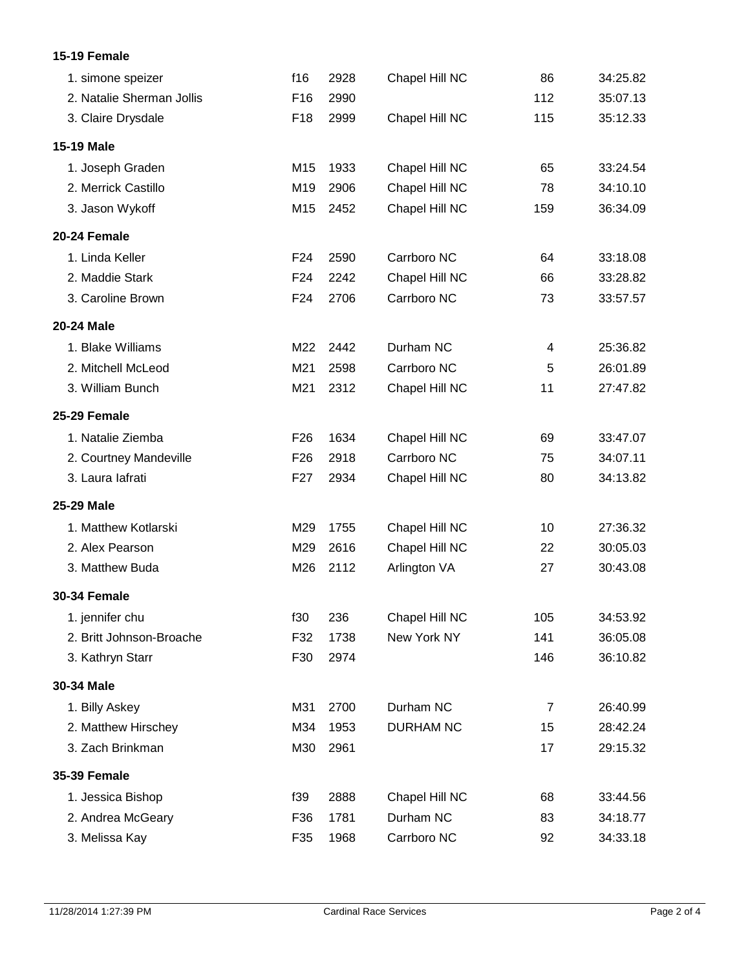## **15-19 Female**

| 1. simone speizer         | f16             | 2928 | Chapel Hill NC   | 86             | 34:25.82 |
|---------------------------|-----------------|------|------------------|----------------|----------|
| 2. Natalie Sherman Jollis | F16             | 2990 |                  | 112            | 35:07.13 |
| 3. Claire Drysdale        | F <sub>18</sub> | 2999 | Chapel Hill NC   | 115            | 35:12.33 |
| <b>15-19 Male</b>         |                 |      |                  |                |          |
| 1. Joseph Graden          | M15             | 1933 | Chapel Hill NC   | 65             | 33:24.54 |
| 2. Merrick Castillo       | M19             | 2906 | Chapel Hill NC   | 78             | 34:10.10 |
| 3. Jason Wykoff           | M15             | 2452 | Chapel Hill NC   | 159            | 36:34.09 |
| 20-24 Female              |                 |      |                  |                |          |
| 1. Linda Keller           | F <sub>24</sub> | 2590 | Carrboro NC      | 64             | 33:18.08 |
| 2. Maddie Stark           | F <sub>24</sub> | 2242 | Chapel Hill NC   | 66             | 33:28.82 |
| 3. Caroline Brown         | F24             | 2706 | Carrboro NC      | 73             | 33:57.57 |
| 20-24 Male                |                 |      |                  |                |          |
| 1. Blake Williams         | M22             | 2442 | Durham NC        | 4              | 25:36.82 |
| 2. Mitchell McLeod        | M21             | 2598 | Carrboro NC      | 5              | 26:01.89 |
| 3. William Bunch          | M21             | 2312 | Chapel Hill NC   | 11             | 27:47.82 |
| 25-29 Female              |                 |      |                  |                |          |
| 1. Natalie Ziemba         | F <sub>26</sub> | 1634 | Chapel Hill NC   | 69             | 33:47.07 |
| 2. Courtney Mandeville    | F <sub>26</sub> | 2918 | Carrboro NC      | 75             | 34:07.11 |
| 3. Laura lafrati          | F <sub>27</sub> | 2934 | Chapel Hill NC   | 80             | 34:13.82 |
| 25-29 Male                |                 |      |                  |                |          |
| 1. Matthew Kotlarski      | M29             | 1755 | Chapel Hill NC   | 10             | 27:36.32 |
| 2. Alex Pearson           | M29             | 2616 | Chapel Hill NC   | 22             | 30:05.03 |
| 3. Matthew Buda           | M26             | 2112 | Arlington VA     | 27             | 30:43.08 |
| <b>30-34 Female</b>       |                 |      |                  |                |          |
| 1. jennifer chu           | f30             | 236  | Chapel Hill NC   | 105            | 34:53.92 |
| 2. Britt Johnson-Broache  | F32             | 1738 | New York NY      | 141            | 36:05.08 |
| 3. Kathryn Starr          | F30             | 2974 |                  | 146            | 36:10.82 |
| 30-34 Male                |                 |      |                  |                |          |
| 1. Billy Askey            | M31             | 2700 | Durham NC        | $\overline{7}$ | 26:40.99 |
| 2. Matthew Hirschey       | M34             | 1953 | <b>DURHAM NC</b> | 15             | 28:42.24 |
| 3. Zach Brinkman          | M30             | 2961 |                  | 17             | 29:15.32 |
| <b>35-39 Female</b>       |                 |      |                  |                |          |
| 1. Jessica Bishop         | f39             | 2888 | Chapel Hill NC   | 68             | 33:44.56 |
| 2. Andrea McGeary         | F36             | 1781 | Durham NC        | 83             | 34:18.77 |
| 3. Melissa Kay            | F35             | 1968 | Carrboro NC      | 92             | 34:33.18 |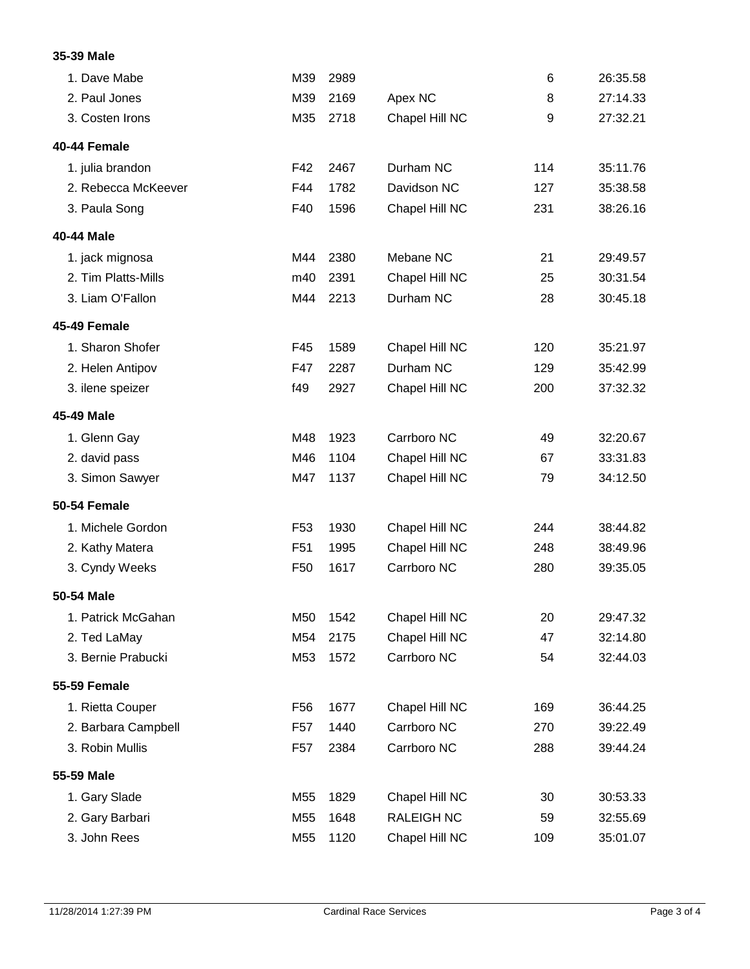# **35-39 Male**

| 1. Dave Mabe        | M39             | 2989 |                   | 6   | 26:35.58 |
|---------------------|-----------------|------|-------------------|-----|----------|
| 2. Paul Jones       | M39             | 2169 | Apex NC           | 8   | 27:14.33 |
| 3. Costen Irons     | M35             | 2718 | Chapel Hill NC    | 9   | 27:32.21 |
| 40-44 Female        |                 |      |                   |     |          |
| 1. julia brandon    | F42             | 2467 | Durham NC         | 114 | 35:11.76 |
| 2. Rebecca McKeever | F44             | 1782 | Davidson NC       | 127 | 35:38.58 |
| 3. Paula Song       | F40             | 1596 | Chapel Hill NC    | 231 | 38:26.16 |
| 40-44 Male          |                 |      |                   |     |          |
| 1. jack mignosa     | M44             | 2380 | Mebane NC         | 21  | 29:49.57 |
| 2. Tim Platts-Mills | m40             | 2391 | Chapel Hill NC    | 25  | 30:31.54 |
| 3. Liam O'Fallon    | M44             | 2213 | Durham NC         | 28  | 30:45.18 |
| 45-49 Female        |                 |      |                   |     |          |
| 1. Sharon Shofer    | F45             | 1589 | Chapel Hill NC    | 120 | 35:21.97 |
| 2. Helen Antipov    | F47             | 2287 | Durham NC         | 129 | 35:42.99 |
| 3. ilene speizer    | f49             | 2927 | Chapel Hill NC    | 200 | 37:32.32 |
| 45-49 Male          |                 |      |                   |     |          |
| 1. Glenn Gay        | M48             | 1923 | Carrboro NC       | 49  | 32:20.67 |
| 2. david pass       | M46             | 1104 | Chapel Hill NC    | 67  | 33:31.83 |
| 3. Simon Sawyer     | M47             | 1137 | Chapel Hill NC    | 79  | 34:12.50 |
| 50-54 Female        |                 |      |                   |     |          |
| 1. Michele Gordon   | F <sub>53</sub> | 1930 | Chapel Hill NC    | 244 | 38:44.82 |
| 2. Kathy Matera     | F <sub>51</sub> | 1995 | Chapel Hill NC    | 248 | 38:49.96 |
| 3. Cyndy Weeks      | F <sub>50</sub> | 1617 | Carrboro NC       | 280 | 39:35.05 |
| 50-54 Male          |                 |      |                   |     |          |
| 1. Patrick McGahan  | M50             | 1542 | Chapel Hill NC    | 20  | 29:47.32 |
| 2. Ted LaMay        | M54             | 2175 | Chapel Hill NC    | 47  | 32:14.80 |
| 3. Bernie Prabucki  | M53             | 1572 | Carrboro NC       | 54  | 32:44.03 |
| <b>55-59 Female</b> |                 |      |                   |     |          |
| 1. Rietta Couper    | F <sub>56</sub> | 1677 | Chapel Hill NC    | 169 | 36:44.25 |
| 2. Barbara Campbell | F <sub>57</sub> | 1440 | Carrboro NC       | 270 | 39:22.49 |
| 3. Robin Mullis     | F <sub>57</sub> | 2384 | Carrboro NC       | 288 | 39:44.24 |
| 55-59 Male          |                 |      |                   |     |          |
| 1. Gary Slade       | M55             | 1829 | Chapel Hill NC    | 30  | 30:53.33 |
| 2. Gary Barbari     | M55             | 1648 | <b>RALEIGH NC</b> | 59  | 32:55.69 |
| 3. John Rees        | M55             | 1120 | Chapel Hill NC    | 109 | 35:01.07 |